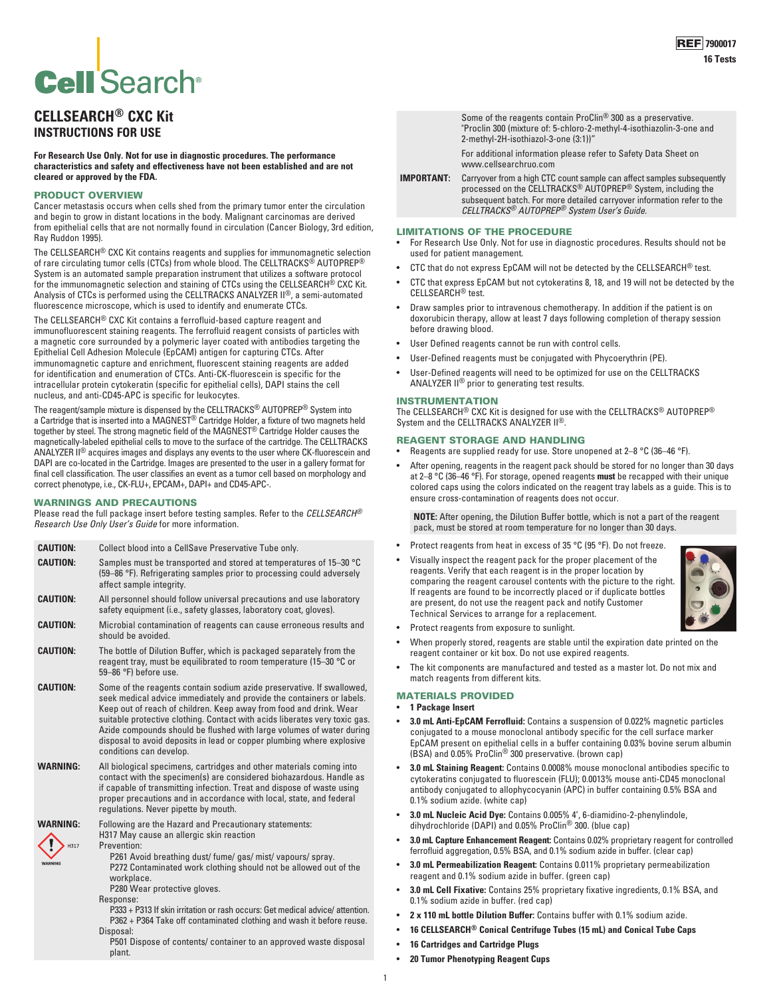# **Cell** Search®

# **CELLSEARCH® CXC Kit INSTRUCTIONS FOR USE**

**For Research Use Only. Not for use in diagnostic procedures. The performance characteristics and safety and effectiveness have not been established and are not cleared or approved by the FDA.**

### PRODUCT OVERVIEW

Cancer metastasis occurs when cells shed from the primary tumor enter the circulation and begin to grow in distant locations in the body. Malignant carcinomas are derived from epithelial cells that are not normally found in circulation (Cancer Biology, 3rd edition, Ray Ruddon 1995).

The CELLSEARCH® CXC Kit contains reagents and supplies for immunomagnetic selection of rare circulating tumor cells (CTCs) from whole blood. The CELLTRACKS® AUTOPREP® System is an automated sample preparation instrument that utilizes a software protocol<br>for the immunomagnetic selection and staining of CTCs using the CELLSEARCH® CXC Kit. Analysis of CTCs is performed using the CELLTRACKS ANALYZER II®, a semi-automated fluorescence microscope, which is used to identify and enumerate CTCs.

The CELLSEARCH® CXC Kit contains a ferrofluid-based capture reagent and

immunofluorescent staining reagents. The ferrofluid reagent consists of particles with a magnetic core surrounded by a polymeric layer coated with antibodies targeting the Epithelial Cell Adhesion Molecule (EpCAM) antigen for capturing CTCs. After immunomagnetic capture and enrichment, fluorescent staining reagents are added for identification and enumeration of CTCs. Anti-CK-fluorescein is specific for the intracellular protein cytokeratin (specific for epithelial cells), DAPI stains the cell nucleus, and anti-CD45-APC is specific for leukocytes.

The reagent/sample mixture is dispensed by the CELLTRACKS® AUTOPREP® System into a Cartridge that is inserted into a MAGNEST® Cartridge Holder, a fixture of two magnets held together by steel. The strong magnetic field of the MAGNEST® Cartridge Holder causes the magnetically-labeled epithelial cells to move to the surface of the cartridge. The CELLTRACKS ANALYZER I<sup>®</sup> acquires images and displays any events to the user where CK-fluorescein and DAPI are co-located in the Cartridge. Images are presented to the user in a gallery format for final cell classification. The user classifies an event as a tumor cell based on morphology and correct phenotype, i.e., CK-FLU+, EPCAM+, DAPI+ and CD45-APC-.

# WARNINGS AND PRECAUTIONS

Please read the full package insert before testing samples. Refer to the *CELLSEARCH® Research Use Only User's Guide* for more information.

| <b>CAUTION:</b>                    | Collect blood into a CellSave Preservative Tube only.                                                                                                                                                                                                                                                                                                                                                                                                                           |  |  |  |
|------------------------------------|---------------------------------------------------------------------------------------------------------------------------------------------------------------------------------------------------------------------------------------------------------------------------------------------------------------------------------------------------------------------------------------------------------------------------------------------------------------------------------|--|--|--|
| <b>CAUTION:</b>                    | Samples must be transported and stored at temperatures of 15-30 °C<br>(59–86 °F). Refrigerating samples prior to processing could adversely<br>affect sample integrity.                                                                                                                                                                                                                                                                                                         |  |  |  |
| <b>CAUTION:</b>                    | All personnel should follow universal precautions and use laboratory<br>safety equipment (i.e., safety glasses, laboratory coat, gloves).                                                                                                                                                                                                                                                                                                                                       |  |  |  |
| <b>CAUTION:</b>                    | Microbial contamination of reagents can cause erroneous results and<br>should be avoided.                                                                                                                                                                                                                                                                                                                                                                                       |  |  |  |
| <b>CAUTION:</b>                    | The bottle of Dilution Buffer, which is packaged separately from the<br>reagent tray, must be equilibrated to room temperature (15-30 °C or<br>59-86 °F) before use.                                                                                                                                                                                                                                                                                                            |  |  |  |
| <b>CAUTION:</b>                    | Some of the reagents contain sodium azide preservative. If swallowed,<br>seek medical advice immediately and provide the containers or labels.<br>Keep out of reach of children. Keep away from food and drink. Wear<br>suitable protective clothing. Contact with acids liberates very toxic gas.<br>Azide compounds should be flushed with large volumes of water during<br>disposal to avoid deposits in lead or copper plumbing where explosive<br>conditions can develop.  |  |  |  |
| WARNING:                           | All biological specimens, cartridges and other materials coming into<br>contact with the specimen(s) are considered biohazardous. Handle as<br>if capable of transmitting infection. Treat and dispose of waste using<br>proper precautions and in accordance with local, state, and federal<br>regulations. Never pipette by mouth.                                                                                                                                            |  |  |  |
| <b>WARNING:</b><br>H317<br>WARNING | Following are the Hazard and Precautionary statements:<br>H317 May cause an allergic skin reaction<br>Prevention:<br>P261 Avoid breathing dust/fume/gas/mist/vapours/spray.<br>P272 Contaminated work clothing should not be allowed out of the<br>workplace.<br>P280 Wear protective gloves.<br>Response:<br>P333 + P313 If skin irritation or rash occurs: Get medical advice/attention.<br>P362 + P364 Take off contaminated clothing and wash it before reuse.<br>Disposal: |  |  |  |
|                                    | P501 Dispose of contents/ container to an approved waste disposal<br>plant.                                                                                                                                                                                                                                                                                                                                                                                                     |  |  |  |

Some of the reagents contain ProClin® 300 as a preservative. "Proclin 300 (mixture of: 5-chloro-2-methyl-4-isothiazolin-3-one and 2-methyl-2H-isothiazol-3-one (3:1))"

For additional information please refer to Safety Data Sheet on www.cellsearchruo.com

**IMPORTANT:** Carryover from a high CTC count sample can affect samples subsequently processed on the CELLTRACKS® AUTOPREP® System, including the subsequent batch. For more detailed carryover information refer to the *CELLTRACKS® AUTOPREP® System User's Guide.*

#### LIMITATIONS OF THE PROCEDURE

- For Research Use Only. Not for use in diagnostic procedures. Results should not be used for patient management.
- CTC that do not express EpCAM will not be detected by the CELLSEARCH® test.
- CTC that express EpCAM but not cytokeratins 8, 18, and 19 will not be detected by the CELLSEARCH® test.
- Draw samples prior to intravenous chemotherapy. In addition if the patient is on doxorubicin therapy, allow at least 7 days following completion of therapy session before drawing blood.
- User Defined reagents cannot be run with control cells.
- User-Defined reagents must be conjugated with Phycoerythrin (PE).
- User-Defined reagents will need to be optimized for use on the CELLTRACKS ANALYZER II® prior to generating test results.

#### INSTRUMENTATION

The CELLSEARCH® CXC Kit is designed for use with the CELLTRACKS® AUTOPREP® System and the CELLTRACKS ANALYZER II®.

#### REAGENT STORAGE AND HANDLING

- Reagents are supplied ready for use. Store unopened at 2–8 °C (36–46 °F).
- After opening, reagents in the reagent pack should be stored for no longer than 30 days at 2–8 °C (36–46 °F). For storage, opened reagents **must** be recapped with their unique colored caps using the colors indicated on the reagent tray labels as a guide. This is to ensure cross-contamination of reagents does not occur.

**NOTE:** After opening, the Dilution Buffer bottle, which is not a part of the reagent pack, must be stored at room temperature for no longer than 30 days.

- Protect reagents from heat in excess of 35 °C (95 °F). Do not freeze.
- Visually inspect the reagent pack for the proper placement of the reagents. Verify that each reagent is in the proper location by comparing the reagent carousel contents with the picture to the right. If reagents are found to be incorrectly placed or if duplicate bottles are present, do not use the reagent pack and notify Customer Technical Services to arrange for a replacement.



- Protect reagents from exposure to sunlight.
- When properly stored, reagents are stable until the expiration date printed on the reagent container or kit box. Do not use expired reagents.
- The kit components are manufactured and tested as a master lot. Do not mix and match reagents from different kits.

## MATERIALS PROVIDED

- **1 Package Insert**
- **3.0 mL Anti-EpCAM Ferrofluid:** Contains a suspension of 0.022% magnetic particles conjugated to a mouse monoclonal antibody specific for the cell surface marker EpCAM present on epithelial cells in a buffer containing 0.03% bovine serum albumin (BSA) and 0.05% ProClin® 300 preservative. (brown cap)
- **3.0 mL Staining Reagent:** Contains 0.0008% mouse monoclonal antibodies specific to cytokeratins conjugated to fluorescein (FLU); 0.0013% mouse anti-CD45 monoclonal antibody conjugated to allophycocyanin (APC) in buffer containing 0.5% BSA and 0.1% sodium azide. (white cap)
- **3.0 mL Nucleic Acid Dye:** Contains 0.005% 4', 6-diamidino-2-phenylindole, dihydrochloride (DAPI) and 0.05% ProClin® 300. (blue cap)
- **3.0 mL Capture Enhancement Reagent:** Contains 0.02% proprietary reagent for controlled ferrofluid aggregation, 0.5% BSA, and 0.1% sodium azide in buffer. (clear cap)
- **3.0 mL Permeabilization Reagent:** Contains 0.011% proprietary permeabilization reagent and 0.1% sodium azide in buffer. (green cap)
- **3.0 mL Cell Fixative:** Contains 25% proprietary fixative ingredients, 0.1% BSA, and 0.1% sodium azide in buffer. (red cap)
- **2 x 110 mL bottle Dilution Buffer:** Contains buffer with 0.1% sodium azide.
- **16 CELLSEARCH® Conical Centrifuge Tubes (15 mL) and Conical Tube Caps**
- **16 Cartridges and Cartridge Plugs**
- **20 Tumor Phenotyping Reagent Cups**